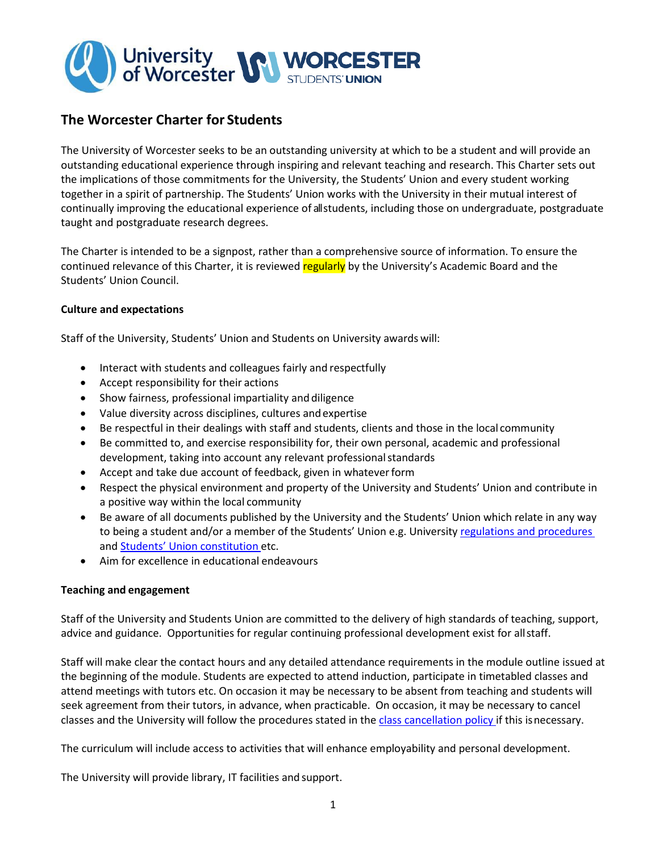

# **The Worcester Charter for Students**

The University of Worcester seeks to be an outstanding university at which to be a student and will provide an outstanding educational experience through inspiring and relevant teaching and research. This Charter sets out the implications of those commitments for the University, the Students' Union and every student working together in a spirit of partnership. The Students' Union works with the University in their mutual interest of continually improving the educational experience of all students, including those on undergraduate, postgraduate taught and postgraduate research degrees.

The Charter is intended to be a signpost, rather than a comprehensive source of information. To ensure the continued relevance of this Charter, it is reviewed regularly by the University's Academic Board and the Students' Union Council.

### **Culture and expectations**

Staff of the University, Students' Union and Students on University awards will:

- Interact with students and colleagues fairly and respectfully
- Accept responsibility for their actions
- Show fairness, professional impartiality and diligence
- Value diversity across disciplines, cultures andexpertise
- Be respectful in their dealings with staff and students, clients and those in the local community
- Be committed to, and exercise responsibility for, their own personal, academic and professional development, taking into account any relevant professional standards
- Accept and take due account of feedback, given in whateverform
- Respect the physical environment and property of the University and Students' Union and contribute in a positive way within the local community
- Be aware of all documents published by the University and the Students' Union which relate in any way to being a student and/or a member of the Students' Union e.g. University regulations and procedures and [Students' Union constitution](http://www.worcsu.com/pageassets/yourunion/aboutwsu/2016-02-12-Worcester-Students-Union-constitution-and-byelaws.docx) etc.
- Aim for excellence in educational endeavours

### **Teaching and engagement**

Staff of the University and Students Union are committed to the delivery of high standards of teaching, support, advice and guidance. Opportunities for regular continuing professional development exist for allstaff.

Staff will make clear the contact hours and any detailed attendance requirements in the module outline issued at the beginning of the module. Students are expected to attend induction, participate in timetabled classes and attend meetings with tutors etc. On occasion it may be necessary to be absent from teaching and students will seek agreement from their tutors, in advance, when practicable. On occasion, it may be necessary to cancel classes and the University will follow the procedures stated in the [class cancellation policy i](http://www.worcester.ac.uk/registryservices/documents/classcancellationpolicy.pdf)f this isnecessary.

The curriculum will include access to activities that will enhance employability and personal development.

The University will provide library, IT facilities and support.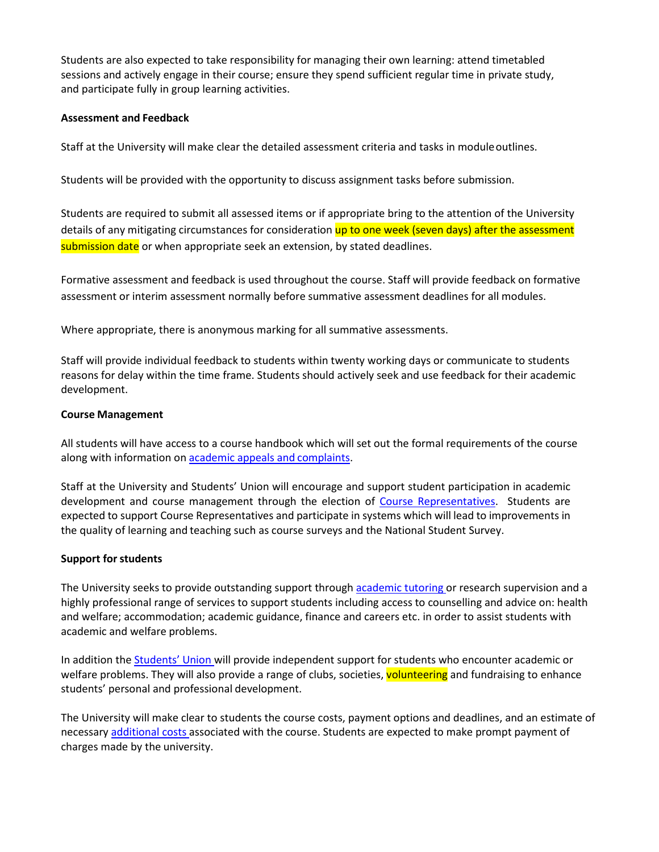Students are also expected to take responsibility for managing their own learning: attend timetabled sessions and actively engage in their course; ensure they spend sufficient regular time in private study, and participate fully in group learning activities.

### **Assessment and Feedback**

Staff at the University will make clear the detailed assessment criteria and tasks in moduleoutlines.

Students will be provided with the opportunity to discuss assignment tasks before submission.

Students are required to submit all assessed items or if appropriate bring to the attention of the University details of any mitigating circumstances for consideration up to one week (seven days) after the assessment submission date or when appropriate seek an extension, by stated deadlines.

Formative assessment and feedback is used throughout the course. Staff will provide feedback on formative assessment or interim assessment normally before summative assessment deadlines for all modules.

Where appropriate, there is anonymous marking for all summative assessments.

Staff will provide individual feedback to students within twenty working days or communicate to students reasons for delay within the time frame. Students should actively seek and use feedback for their academic development.

#### **Course Management**

All students will have access to a course handbook which will set out the formal requirements of the course along with information o[n academic appeals and](http://www.worcester.ac.uk/registryservices/662.htm) complaints.

Staff at the University and Students' Union will encourage and support student participation in academic development and course management through the election of [Course](http://www.worcsu.com/yourvoice/stars/) [Representatives.](https://www.worcsu.com/yourvoice/reps/) Students are expected to support Course Representatives and participate in systems which will lead to improvements in the quality of learning and teaching such as course surveys and the National Student Survey.

### **Support for students**

The University seeks to provide outstanding support through academic tutoring or research supervision and a highly professional range of services to support students including access to counselling and advice on: health and welfare; accommodation; academic guidance, finance and careers etc. in order to assist students with academic and welfare problems.

In addition the **Students' Union will provide independent support for students who encounter academic or** welfare problems. They will also provide a range of clubs, societies, volunteering and fundraising to enhance students' personal and professional development.

The University will make clear to students the course costs, payment options and deadlines, and an estimate of necessary [additional costs a](http://www.worc.ac.uk/moneyadvice/)ssociated with the course. Students are expected to make prompt payment of charges made by the university.